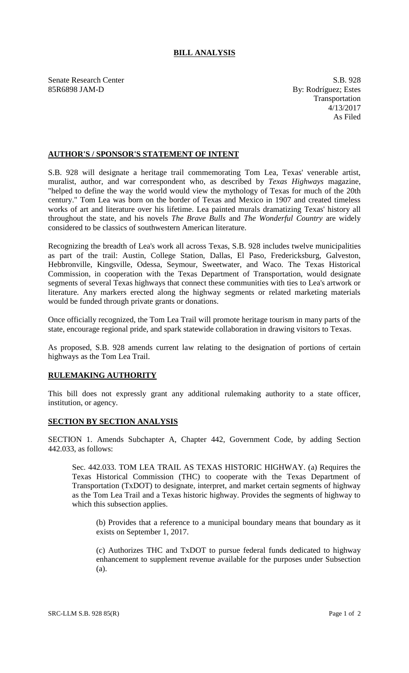## **BILL ANALYSIS**

Senate Research Center S.B. 928 85R6898 JAM-D By: Rodríguez; Estes

Transportation 4/13/2017 As Filed

## **AUTHOR'S / SPONSOR'S STATEMENT OF INTENT**

S.B. 928 will designate a heritage trail commemorating Tom Lea, Texas' venerable artist, muralist, author, and war correspondent who, as described by *Texas Highways* magazine, "helped to define the way the world would view the mythology of Texas for much of the 20th century." Tom Lea was born on the border of Texas and Mexico in 1907 and created timeless works of art and literature over his lifetime. Lea painted murals dramatizing Texas' history all throughout the state, and his novels *The Brave Bulls* and *The Wonderful Country* are widely considered to be classics of southwestern American literature.

Recognizing the breadth of Lea's work all across Texas, S.B. 928 includes twelve municipalities as part of the trail: Austin, College Station, Dallas, El Paso, Fredericksburg, Galveston, Hebbronville, Kingsville, Odessa, Seymour, Sweetwater, and Waco. The Texas Historical Commission, in cooperation with the Texas Department of Transportation, would designate segments of several Texas highways that connect these communities with ties to Lea's artwork or literature. Any markers erected along the highway segments or related marketing materials would be funded through private grants or donations.

Once officially recognized, the Tom Lea Trail will promote heritage tourism in many parts of the state, encourage regional pride, and spark statewide collaboration in drawing visitors to Texas.

As proposed, S.B. 928 amends current law relating to the designation of portions of certain highways as the Tom Lea Trail.

## **RULEMAKING AUTHORITY**

This bill does not expressly grant any additional rulemaking authority to a state officer, institution, or agency.

## **SECTION BY SECTION ANALYSIS**

SECTION 1. Amends Subchapter A, Chapter 442, Government Code, by adding Section 442.033, as follows:

Sec. 442.033. TOM LEA TRAIL AS TEXAS HISTORIC HIGHWAY. (a) Requires the Texas Historical Commission (THC) to cooperate with the Texas Department of Transportation (TxDOT) to designate, interpret, and market certain segments of highway as the Tom Lea Trail and a Texas historic highway. Provides the segments of highway to which this subsection applies.

(b) Provides that a reference to a municipal boundary means that boundary as it exists on September 1, 2017.

(c) Authorizes THC and TxDOT to pursue federal funds dedicated to highway enhancement to supplement revenue available for the purposes under Subsection (a).